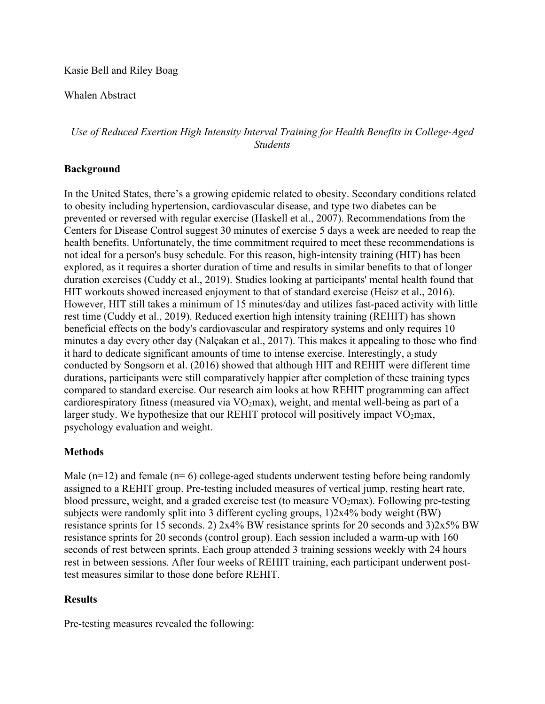### Kasie Bell and Riley Boag

### Whalen Abstract

# *Use of Reduced Exertion High Intensity Interval Training for Health Benefits in College-Aged Students*

## **Background**

In the United States, there's a growing epidemic related to obesity. Secondary conditions related to obesity including hypertension, cardiovascular disease, and type two diabetes can be prevented or reversed with regular exercise (Haskell et al., 2007). Recommendations from the Centers for Disease Control suggest 30 minutes of exercise 5 days a week are needed to reap the health benefits. Unfortunately, the time commitment required to meet these recommendations is not ideal for a person's busy schedule. For this reason, high-intensity training (HIT) has been explored, as it requires a shorter duration of time and results in similar benefits to that of longer duration exercises (Cuddy et al., 2019). Studies looking at participants' mental health found that HIT workouts showed increased enjoyment to that of standard exercise (Heisz et al., 2016). However, HIT still takes a minimum of 15 minutes/day and utilizes fast-paced activity with little rest time (Cuddy et al., 2019). Reduced exertion high intensity training (REHIT) has shown beneficial effects on the body's cardiovascular and respiratory systems and only requires 10 minutes a day every other day (Nalçakan et al., 2017). This makes it appealing to those who find it hard to dedicate significant amounts of time to intense exercise. Interestingly, a study conducted by Songsorn et al. (2016) showed that although HIT and REHIT were different time durations, participants were still comparatively happier after completion of these training types compared to standard exercise. Our research aim looks at how REHIT programming can affect cardiorespiratory fitness (measured via  $VO<sub>2</sub>max$ ), weight, and mental well-being as part of a larger study. We hypothesize that our REHIT protocol will positively impact  $VO<sub>2</sub>$ max, psychology evaluation and weight.

#### **Methods**

Male  $(n=12)$  and female  $(n=6)$  college-aged students underwent testing before being randomly assigned to a REHIT group. Pre-testing included measures of vertical jump, resting heart rate, blood pressure, weight, and a graded exercise test (to measure  $VO<sub>2</sub>max$ ). Following pre-testing subjects were randomly split into 3 different cycling groups, 1)2x4% body weight (BW) resistance sprints for 15 seconds. 2) 2x4% BW resistance sprints for 20 seconds and 3)2x5% BW resistance sprints for 20 seconds (control group). Each session included a warm-up with 160 seconds of rest between sprints. Each group attended 3 training sessions weekly with 24 hours rest in between sessions. After four weeks of REHIT training, each participant underwent posttest measures similar to those done before REHIT.

#### **Results**

Pre-testing measures revealed the following: